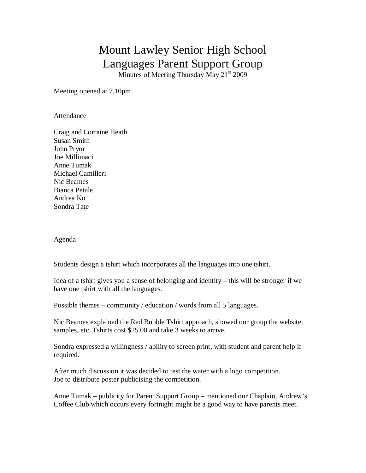## Mount Lawley Senior High School Languages Parent Support Group

Minutes of Meeting Thursday May  $21^{st}$  2009

Meeting opened at 7.10pm

Attendance

Craig and Lorraine Heath Susan Smith John Pryor Joe Millimaci Anne Tumak Michael Camilleri Nic Beames Bianca Petale Andrea Ko Sondra Tate

Agenda

Students design a tshirt which incorporates all the languages into one tshirt.

Idea of a tshirt gives you a sense of belonging and identity – this will be stronger if we have one tshirt with all the languages.

Possible themes – community / education / words from all 5 languages.

Nic Beames explained the Red Bubble Tshirt approach, showed our group the website, samples, etc. Tshirts cost \$25.00 and take 3 weeks to arrive.

Sondra expressed a willingness / ability to screen print, with student and parent help if required.

After much discussion it was decided to test the water with a logo competition. Joe to distribute poster publicising the competition.

Anne Tumak – publicity for Parent Support Group – mentioned our Chaplain, Andrew's Coffee Club which occurs every fortnight might be a good way to have parents meet.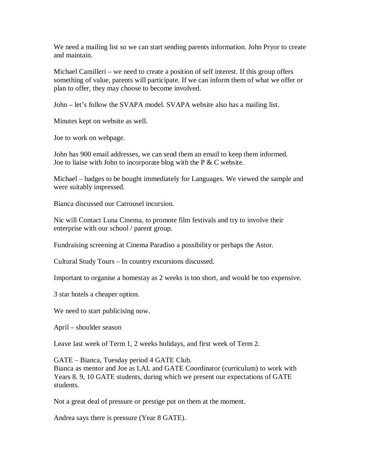We need a mailing list so we can start sending parents information. John Pryor to create and maintain.

Michael Camilleri – we need to create a position of self interest. If this group offers something of value, parents will participate. If we can inform them of what we offer or plan to offer, they may choose to become involved.

John – let's follow the SVAPA model. SVAPA website also has a mailing list.

Minutes kept on website as well.

Joe to work on webpage.

John has 900 email addresses, we can send them an email to keep them informed. Joe to liaise with John to incorporate blog with the  $P \& C$  website.

Michael – badges to be bought immediately for Languages. We viewed the sample and were suitably impressed.

Bianca discussed our Carrousel incursion.

Nic will Contact Luna Cinema, to promote film festivals and try to involve their enterprise with our school / parent group.

Fundraising screening at Cinema Paradiso a possibility or perhaps the Astor.

Cultural Study Tours – In country excursions discussed.

Important to organise a homestay as 2 weeks is too short, and would be too expensive.

3 star hotels a cheaper option.

We need to start publicising now.

April – shoulder season

Leave last week of Term 1, 2 weeks holidays, and first week of Term 2.

GATE – Bianca, Tuesday period 4 GATE Club.

Bianca as mentor and Joe as LAL and GATE Coordinator (curriculum) to work with Years 8. 9, 10 GATE students, during which we present our expectations of GATE students.

Not a great deal of pressure or prestige put on them at the moment.

Andrea says there is pressure (Year 8 GATE).